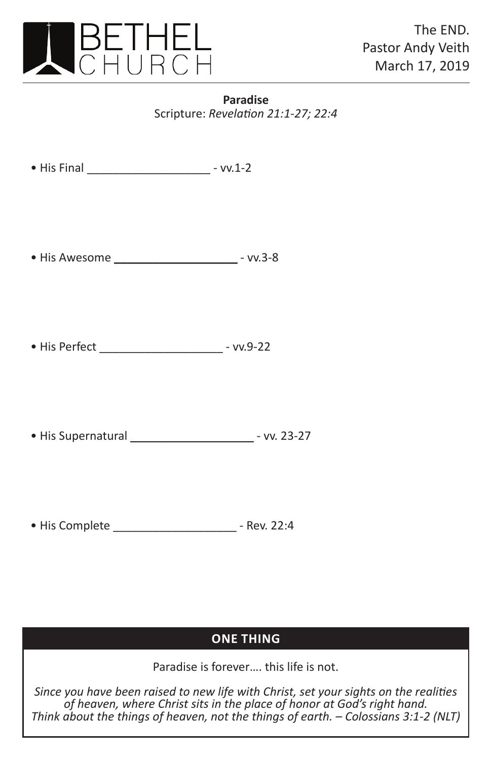

## **Paradise** Scripture: *Revelation 21:1-27; 22:4*

• His Final \_\_\_\_\_\_\_\_\_\_\_\_\_\_\_\_\_\_\_ - vv.1-2

• His Awesome \_\_\_\_\_\_\_\_\_\_\_\_\_\_\_\_\_\_\_ - vv.3-8

• His Perfect \_\_\_\_\_\_\_\_\_\_\_\_\_\_\_\_\_\_\_ - vv.9-22

• His Supernatural \_\_\_\_\_\_\_\_\_\_\_\_\_\_\_\_\_\_\_ - vv. 23-27

• His Complete \_\_\_\_\_\_\_\_\_\_\_\_\_\_\_\_\_\_\_ - Rev. 22:4

## **one thing one thing**

Paradise is forever…. this life is not.

*Since you have been raised to new life with Christ, set your sights on the realities of heaven, where Christ sits in the place of honor at God's right hand. Think about the things of heaven, not the things of earth. – Colossians 3:1-2 (NLT)*